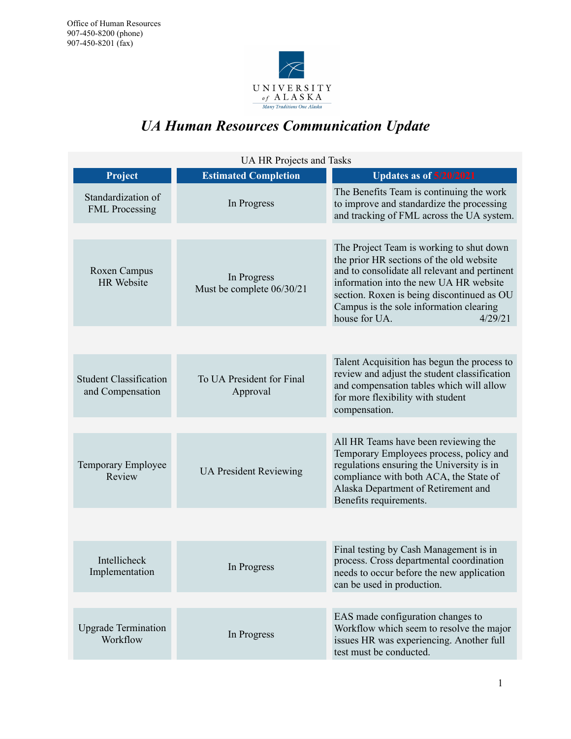

# *UA Human Resources Communication Update*

| UA HR Projects and Tasks                          |                                          |                                                                                                                                                                                                                                                          |
|---------------------------------------------------|------------------------------------------|----------------------------------------------------------------------------------------------------------------------------------------------------------------------------------------------------------------------------------------------------------|
| Project                                           | <b>Estimated Completion</b>              | <b>Updates as of 5/20/2021</b>                                                                                                                                                                                                                           |
| Standardization of<br><b>FML</b> Processing       | In Progress                              | The Benefits Team is continuing the work<br>to improve and standardize the processing<br>and tracking of FML across the UA system.                                                                                                                       |
|                                                   |                                          | The Project Team is working to shut down                                                                                                                                                                                                                 |
| Roxen Campus<br><b>HR</b> Website                 | In Progress<br>Must be complete 06/30/21 | the prior HR sections of the old website<br>and to consolidate all relevant and pertinent<br>information into the new UA HR website<br>section. Roxen is being discontinued as OU<br>Campus is the sole information clearing<br>house for UA.<br>4/29/21 |
|                                                   |                                          |                                                                                                                                                                                                                                                          |
| <b>Student Classification</b><br>and Compensation | To UA President for Final<br>Approval    | Talent Acquisition has begun the process to<br>review and adjust the student classification<br>and compensation tables which will allow<br>for more flexibility with student<br>compensation.                                                            |
|                                                   |                                          |                                                                                                                                                                                                                                                          |
| Temporary Employee<br>Review                      | <b>UA President Reviewing</b>            | All HR Teams have been reviewing the<br>Temporary Employees process, policy and<br>regulations ensuring the University is in<br>compliance with both ACA, the State of<br>Alaska Department of Retirement and<br>Benefits requirements.                  |
|                                                   |                                          |                                                                                                                                                                                                                                                          |
| Intellicheck<br>Implementation                    | In Progress                              | Final testing by Cash Management is in<br>process. Cross departmental coordination<br>needs to occur before the new application<br>can be used in production.                                                                                            |
|                                                   |                                          |                                                                                                                                                                                                                                                          |
| <b>Upgrade Termination</b><br>Workflow            | In Progress                              | EAS made configuration changes to<br>Workflow which seem to resolve the major<br>issues HR was experiencing. Another full<br>test must be conducted.                                                                                                     |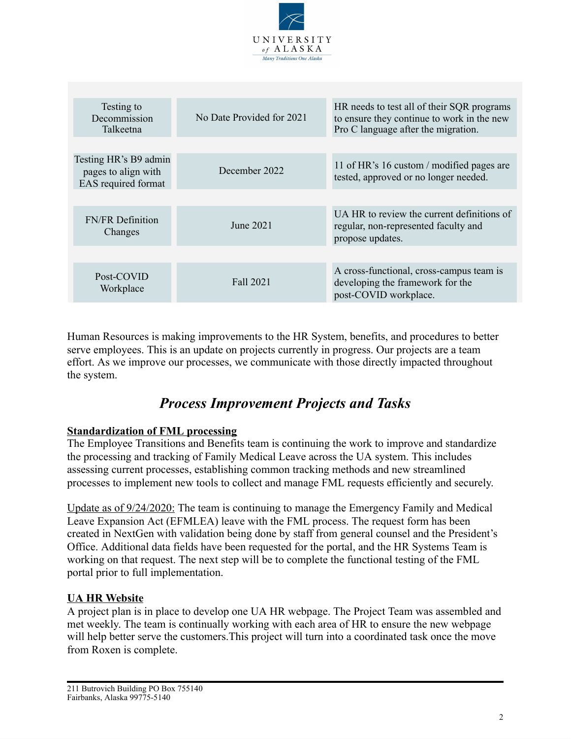

| Testing to<br>Decommission<br>Talkeetna                             | No Date Provided for 2021 | HR needs to test all of their SQR programs<br>to ensure they continue to work in the new<br>Pro C language after the migration. |
|---------------------------------------------------------------------|---------------------------|---------------------------------------------------------------------------------------------------------------------------------|
|                                                                     |                           |                                                                                                                                 |
| Testing HR's B9 admin<br>pages to align with<br>EAS required format | December 2022             | 11 of HR's 16 custom / modified pages are<br>tested, approved or no longer needed.                                              |
|                                                                     |                           |                                                                                                                                 |
| <b>FN/FR</b> Definition<br>Changes                                  | June 2021                 | UA HR to review the current definitions of<br>regular, non-represented faculty and<br>propose updates.                          |
|                                                                     |                           |                                                                                                                                 |
| Post-COVID<br>Workplace                                             | Fall 2021                 | A cross-functional, cross-campus team is<br>developing the framework for the<br>post-COVID workplace.                           |

Human Resources is making improvements to the HR System, benefits, and procedures to better serve employees. This is an update on projects currently in progress. Our projects are a team effort. As we improve our processes, we communicate with those directly impacted throughout the system.

## *Process Improvement Projects and Tasks*

## **Standardization of FML processing**

The Employee Transitions and Benefits team is continuing the work to improve and standardize the processing and tracking of Family Medical Leave across the UA system. This includes assessing current processes, establishing common tracking methods and new streamlined processes to implement new tools to collect and manage FML requests efficiently and securely.

Update as of  $9/24/2020$ : The team is continuing to manage the Emergency Family and Medical Leave Expansion Act (EFMLEA) leave with the FML process. The request form has been created in NextGen with validation being done by staff from general counsel and the President's Office. Additional data fields have been requested for the portal, and the HR Systems Team is working on that request. The next step will be to complete the functional testing of the FML portal prior to full implementation.

## **UA HR Website**

A project plan is in place to develop one UA HR webpage. The Project Team was assembled and met weekly. The team is continually working with each area of HR to ensure the new webpage will help better serve the customers. This project will turn into a coordinated task once the move from Roxen is complete.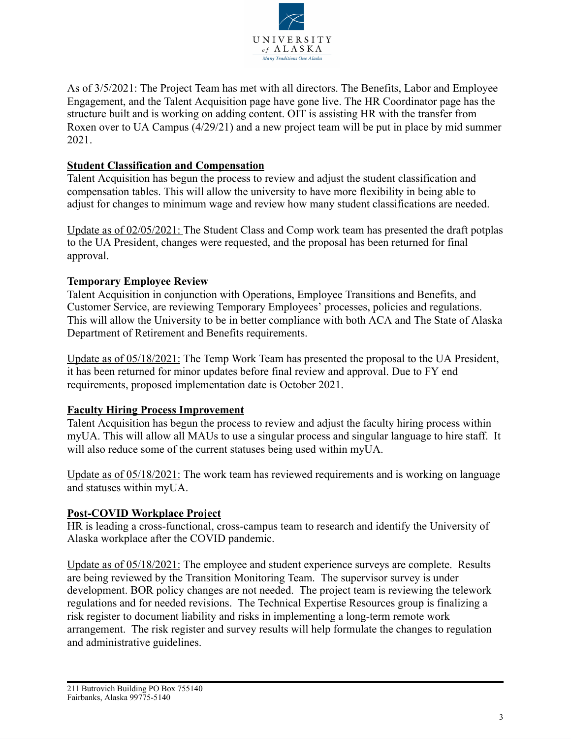

As of 3/5/2021: The Project Team has met with all directors. The Benefits, Labor and Employee Engagement, and the Talent Acquisition page have gone live. The HR Coordinator page has the structure built and is working on adding content. OIT is assisting HR with the transfer from Roxen over to UA Campus (4/29/21) and a new project team will be put in place by mid summer 2021.

## **Student Classification and Compensation**

Talent Acquisition has begun the process to review and adjust the student classification and compensation tables. This will allow the university to have more flexibility in being able to adjust for changes to minimum wage and review how many student classifications are needed.

Update as of 02/05/2021: The Student Class and Comp work team has presented the draft potplas to the UA President, changes were requested, and the proposal has been returned for final approval.

## **Temporary Employee Review**

Talent Acquisition in conjunction with Operations, Employee Transitions and Benefits, and Customer Service, are reviewing Temporary Employees' processes, policies and regulations. This will allow the University to be in better compliance with both ACA and The State of Alaska Department of Retirement and Benefits requirements.

Update as of 05/18/2021: The Temp Work Team has presented the proposal to the UA President, it has been returned for minor updates before final review and approval. Due to FY end requirements, proposed implementation date is October 2021.

## **Faculty Hiring Process Improvement**

Talent Acquisition has begun the process to review and adjust the faculty hiring process within myUA. This will allow all MAUs to use a singular process and singular language to hire staff. It will also reduce some of the current statuses being used within myUA.

Update as of 05/18/2021: The work team has reviewed requirements and is working on language and statuses within myUA.

#### **Post-COVID Workplace Project**

HR is leading a cross-functional, cross-campus team to research and identify the University of Alaska workplace after the COVID pandemic.

Update as of 05/18/2021: The employee and student experience surveys are complete. Results are being reviewed by the Transition Monitoring Team. The supervisor survey is under development. BOR policy changes are not needed. The project team is reviewing the telework regulations and for needed revisions. The Technical Expertise Resources group is finalizing a risk register to document liability and risks in implementing a long-term remote work arrangement. The risk register and survey results will help formulate the changes to regulation and administrative guidelines.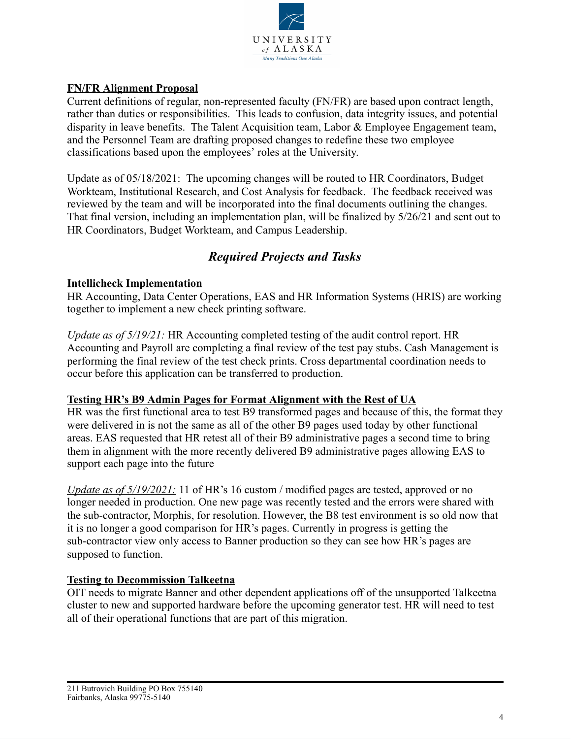

## **FN/FR Alignment Proposal**

Current definitions of regular, non-represented faculty (FN/FR) are based upon contract length, rather than duties or responsibilities. This leads to confusion, data integrity issues, and potential disparity in leave benefits. The Talent Acquisition team, Labor & Employee Engagement team, and the Personnel Team are drafting proposed changes to redefine these two employee classifications based upon the employees' roles at the University.

Update as of 05/18/2021: The upcoming changes will be routed to HR Coordinators, Budget Workteam, Institutional Research, and Cost Analysis for feedback. The feedback received was reviewed by the team and will be incorporated into the final documents outlining the changes. That final version, including an implementation plan, will be finalized by 5/26/21 and sent out to HR Coordinators, Budget Workteam, and Campus Leadership.

## *Required Projects and Tasks*

## **Intellicheck Implementation**

HR Accounting, Data Center Operations, EAS and HR Information Systems (HRIS) are working together to implement a new check printing software.

*Update as of 5/19/21:* HR Accounting completed testing of the audit control report. HR Accounting and Payroll are completing a final review of the test pay stubs. Cash Management is performing the final review of the test check prints. Cross departmental coordination needs to occur before this application can be transferred to production.

#### **Testing HR's B9 Admin Pages for Format Alignment with the Rest of UA**

HR was the first functional area to test B9 transformed pages and because of this, the format they were delivered in is not the same as all of the other B9 pages used today by other functional areas. EAS requested that HR retest all of their B9 administrative pages a second time to bring them in alignment with the more recently delivered B9 administrative pages allowing EAS to support each page into the future

*Update as of 5/19/2021:* 11 of HR's 16 custom / modified pages are tested, approved or no longer needed in production. One new page was recently tested and the errors were shared with the sub-contractor, Morphis, for resolution. However, the B8 test environment is so old now that it is no longer a good comparison for HR's pages. Currently in progress is getting the sub-contractor view only access to Banner production so they can see how HR's pages are supposed to function.

## **Testing to Decommission Talkeetna**

OIT needs to migrate Banner and other dependent applications off of the unsupported Talkeetna cluster to new and supported hardware before the upcoming generator test. HR will need to test all of their operational functions that are part of this migration.